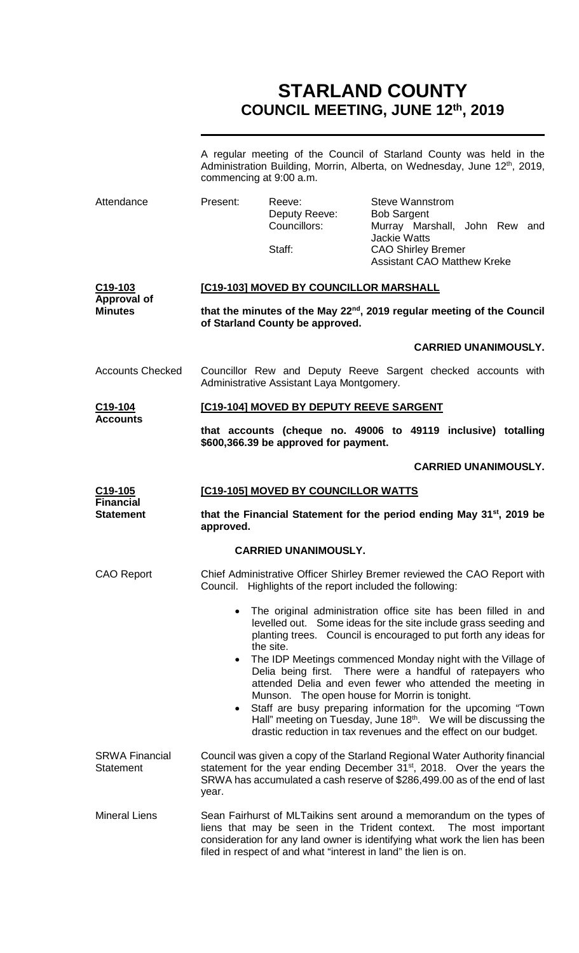# **STARLAND COUNTY COUNCIL MEETING, JUNE 12th, 2019**

|                                                              | A regular meeting of the Council of Starland County was held in the<br>Administration Building, Morrin, Alberta, on Wednesday, June 12 <sup>th</sup> , 2019,<br>commencing at 9:00 a.m.                                                             |                                                |                                                                                                                                                                                                                                                |  |  |
|--------------------------------------------------------------|-----------------------------------------------------------------------------------------------------------------------------------------------------------------------------------------------------------------------------------------------------|------------------------------------------------|------------------------------------------------------------------------------------------------------------------------------------------------------------------------------------------------------------------------------------------------|--|--|
| Attendance                                                   | Present:                                                                                                                                                                                                                                            | Reeve:<br>Deputy Reeve:<br>Councillors:        | <b>Steve Wannstrom</b><br><b>Bob Sargent</b><br>Murray Marshall, John Rew and<br><b>Jackie Watts</b>                                                                                                                                           |  |  |
|                                                              |                                                                                                                                                                                                                                                     | Staff:                                         | <b>CAO Shirley Bremer</b><br><b>Assistant CAO Matthew Kreke</b>                                                                                                                                                                                |  |  |
| C <sub>19</sub> -103<br><b>Approval of</b><br><b>Minutes</b> | [C19-103] MOVED BY COUNCILLOR MARSHALL                                                                                                                                                                                                              |                                                |                                                                                                                                                                                                                                                |  |  |
|                                                              | that the minutes of the May 22 <sup>nd</sup> , 2019 regular meeting of the Council<br>of Starland County be approved.                                                                                                                               |                                                |                                                                                                                                                                                                                                                |  |  |
|                                                              |                                                                                                                                                                                                                                                     |                                                | <b>CARRIED UNANIMOUSLY.</b>                                                                                                                                                                                                                    |  |  |
| <b>Accounts Checked</b>                                      | Councillor Rew and Deputy Reeve Sargent checked accounts with<br>Administrative Assistant Laya Montgomery.                                                                                                                                          |                                                |                                                                                                                                                                                                                                                |  |  |
| C <sub>19</sub> -104<br><b>Accounts</b>                      | [C19-104] MOVED BY DEPUTY REEVE SARGENT                                                                                                                                                                                                             |                                                |                                                                                                                                                                                                                                                |  |  |
|                                                              | that accounts (cheque no. 49006 to 49119 inclusive) totalling<br>\$600,366.39 be approved for payment.                                                                                                                                              |                                                |                                                                                                                                                                                                                                                |  |  |
|                                                              |                                                                                                                                                                                                                                                     |                                                | <b>CARRIED UNANIMOUSLY.</b>                                                                                                                                                                                                                    |  |  |
| C <sub>19</sub> -105                                         | [C19-105] MOVED BY COUNCILLOR WATTS                                                                                                                                                                                                                 |                                                |                                                                                                                                                                                                                                                |  |  |
| <b>Financial</b><br><b>Statement</b>                         | that the Financial Statement for the period ending May 31 <sup>st</sup> , 2019 be<br>approved.                                                                                                                                                      |                                                |                                                                                                                                                                                                                                                |  |  |
|                                                              |                                                                                                                                                                                                                                                     | <b>CARRIED UNANIMOUSLY.</b>                    |                                                                                                                                                                                                                                                |  |  |
| <b>CAO Report</b>                                            | Chief Administrative Officer Shirley Bremer reviewed the CAO Report with<br>Council. Highlights of the report included the following:                                                                                                               |                                                |                                                                                                                                                                                                                                                |  |  |
|                                                              | The original administration office site has been filled in and<br>$\bullet$<br>levelled out. Some ideas for the site include grass seeding and<br>planting trees. Council is encouraged to put forth any ideas for<br>the site.                     |                                                |                                                                                                                                                                                                                                                |  |  |
|                                                              | The IDP Meetings commenced Monday night with the Village of<br>$\bullet$<br>Delia being first. There were a handful of ratepayers who<br>attended Delia and even fewer who attended the meeting in<br>Munson. The open house for Morrin is tonight. |                                                |                                                                                                                                                                                                                                                |  |  |
|                                                              | $\bullet$                                                                                                                                                                                                                                           |                                                | Staff are busy preparing information for the upcoming "Town<br>Hall" meeting on Tuesday, June 18 <sup>th</sup> . We will be discussing the<br>drastic reduction in tax revenues and the effect on our budget.                                  |  |  |
| <b>SRWA Financial</b><br><b>Statement</b>                    | year.                                                                                                                                                                                                                                               |                                                | Council was given a copy of the Starland Regional Water Authority financial<br>statement for the year ending December 31 <sup>st</sup> , 2018. Over the years the<br>SRWA has accumulated a cash reserve of \$286,499.00 as of the end of last |  |  |
| <b>Mineral Liens</b>                                         |                                                                                                                                                                                                                                                     | liens that may be seen in the Trident context. | Sean Fairhurst of MLTaikins sent around a memorandum on the types of<br>The most important<br>consideration for any land owner is identifying what work the lien has been<br>filed in respect of and what "interest in land" the lien is on.   |  |  |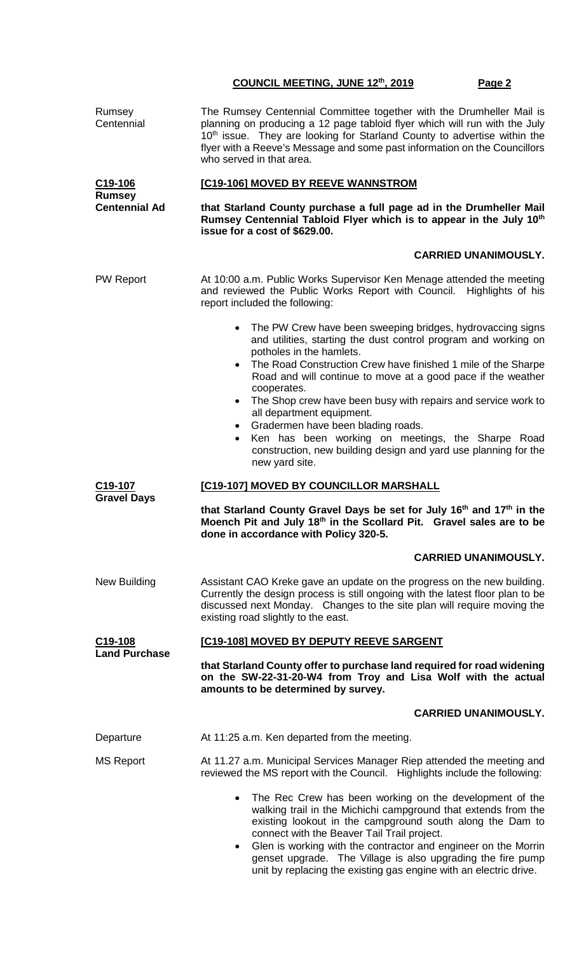| Rumsey<br>Centennial                         | The Rumsey Centennial Committee together with the Drumheller Mail is<br>planning on producing a 12 page tabloid flyer which will run with the July<br>10 <sup>th</sup> issue. They are looking for Starland County to advertise within the<br>flyer with a Reeve's Message and some past information on the Councillors<br>who served in that area.                                              |  |  |  |
|----------------------------------------------|--------------------------------------------------------------------------------------------------------------------------------------------------------------------------------------------------------------------------------------------------------------------------------------------------------------------------------------------------------------------------------------------------|--|--|--|
| C <sub>19</sub> -106                         | [C19-106] MOVED BY REEVE WANNSTROM<br>that Starland County purchase a full page ad in the Drumheller Mail<br>Rumsey Centennial Tabloid Flyer which is to appear in the July 10th<br>issue for a cost of \$629.00.                                                                                                                                                                                |  |  |  |
| <b>Rumsey</b><br><b>Centennial Ad</b>        |                                                                                                                                                                                                                                                                                                                                                                                                  |  |  |  |
|                                              | <b>CARRIED UNANIMOUSLY.</b>                                                                                                                                                                                                                                                                                                                                                                      |  |  |  |
| <b>PW Report</b>                             | At 10:00 a.m. Public Works Supervisor Ken Menage attended the meeting<br>and reviewed the Public Works Report with Council. Highlights of his<br>report included the following:                                                                                                                                                                                                                  |  |  |  |
|                                              | • The PW Crew have been sweeping bridges, hydrovaccing signs<br>and utilities, starting the dust control program and working on<br>potholes in the hamlets.                                                                                                                                                                                                                                      |  |  |  |
|                                              | The Road Construction Crew have finished 1 mile of the Sharpe<br>$\bullet$<br>Road and will continue to move at a good pace if the weather<br>cooperates.                                                                                                                                                                                                                                        |  |  |  |
|                                              | The Shop crew have been busy with repairs and service work to<br>$\bullet$<br>all department equipment.                                                                                                                                                                                                                                                                                          |  |  |  |
|                                              | Gradermen have been blading roads.<br>Ken has been working on meetings, the Sharpe Road<br>$\bullet$<br>construction, new building design and yard use planning for the<br>new yard site.                                                                                                                                                                                                        |  |  |  |
| C19-107                                      | [C19-107] MOVED BY COUNCILLOR MARSHALL                                                                                                                                                                                                                                                                                                                                                           |  |  |  |
| <b>Gravel Days</b>                           | that Starland County Gravel Days be set for July 16 <sup>th</sup> and 17 <sup>th</sup> in the<br>Moench Pit and July 18th in the Scollard Pit. Gravel sales are to be<br>done in accordance with Policy 320-5.                                                                                                                                                                                   |  |  |  |
|                                              | <b>CARRIED UNANIMOUSLY.</b>                                                                                                                                                                                                                                                                                                                                                                      |  |  |  |
| New Building                                 | Assistant CAO Kreke gave an update on the progress on the new building.<br>Currently the design process is still ongoing with the latest floor plan to be<br>discussed next Monday. Changes to the site plan will require moving the<br>existing road slightly to the east.                                                                                                                      |  |  |  |
| C <sub>19</sub> -108<br><b>Land Purchase</b> | [C19-108] MOVED BY DEPUTY REEVE SARGENT                                                                                                                                                                                                                                                                                                                                                          |  |  |  |
|                                              | that Starland County offer to purchase land required for road widening<br>on the SW-22-31-20-W4 from Troy and Lisa Wolf with the actual<br>amounts to be determined by survey.                                                                                                                                                                                                                   |  |  |  |
|                                              | <b>CARRIED UNANIMOUSLY.</b>                                                                                                                                                                                                                                                                                                                                                                      |  |  |  |
| Departure                                    | At 11:25 a.m. Ken departed from the meeting.                                                                                                                                                                                                                                                                                                                                                     |  |  |  |
| <b>MS Report</b>                             | At 11.27 a.m. Municipal Services Manager Riep attended the meeting and<br>reviewed the MS report with the Council. Highlights include the following:                                                                                                                                                                                                                                             |  |  |  |
|                                              | The Rec Crew has been working on the development of the<br>$\bullet$<br>walking trail in the Michichi campground that extends from the<br>existing lookout in the campground south along the Dam to<br>connect with the Beaver Tail Trail project.<br>Glen is working with the contractor and engineer on the Morrin<br>$\bullet$<br>genset upgrade. The Village is also upgrading the fire pump |  |  |  |

unit by replacing the existing gas engine with an electric drive.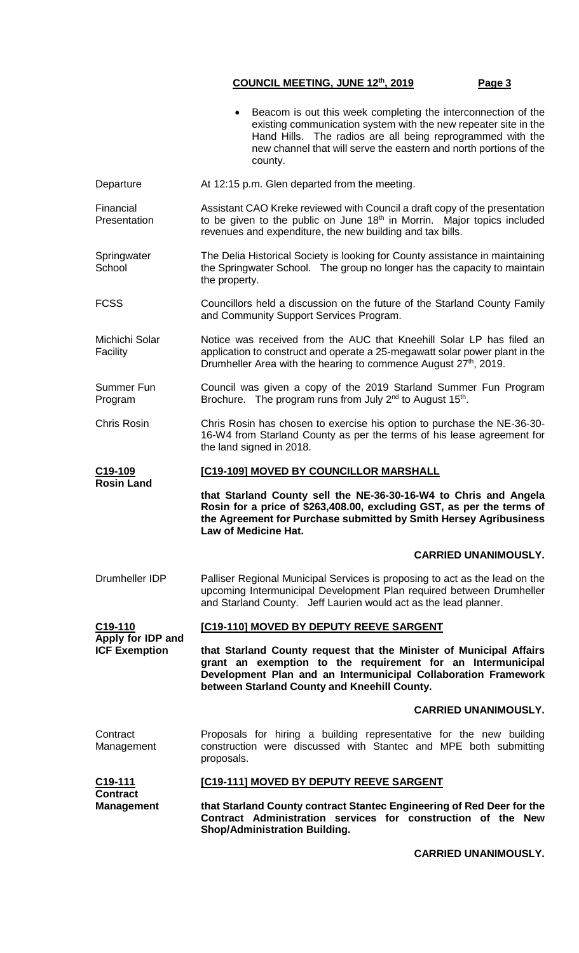Beacom is out this week completing the interconnection of the existing communication system with the new repeater site in the Hand Hills. The radios are all being reprogrammed with the new channel that will serve the eastern and north portions of the county. Departure **At 12:15 p.m. Glen departed from the meeting.** Financial Presentation Assistant CAO Kreke reviewed with Council a draft copy of the presentation to be given to the public on June  $18<sup>th</sup>$  in Morrin. Major topics included revenues and expenditure, the new building and tax bills. **Springwater School** The Delia Historical Society is looking for County assistance in maintaining the Springwater School. The group no longer has the capacity to maintain the property. FCSS Councillors held a discussion on the future of the Starland County Family and Community Support Services Program. Michichi Solar Facility Notice was received from the AUC that Kneehill Solar LP has filed an application to construct and operate a 25-megawatt solar power plant in the Drumheller Area with the hearing to commence August 27<sup>th</sup>, 2019. Summer Fun Program Council was given a copy of the 2019 Starland Summer Fun Program Brochure. The program runs from July 2<sup>nd</sup> to August 15<sup>th</sup>. Chris Rosin Chris Rosin has chosen to exercise his option to purchase the NE-36-30- 16-W4 from Starland County as per the terms of his lease agreement for the land signed in 2018. **C19-109 Rosin Land [C19-109] MOVED BY COUNCILLOR MARSHALL that Starland County sell the NE-36-30-16-W4 to Chris and Angela Rosin for a price of \$263,408.00, excluding GST, as per the terms of the Agreement for Purchase submitted by Smith Hersey Agribusiness Law of Medicine Hat. CARRIED UNANIMOUSLY.** Drumheller IDP Palliser Regional Municipal Services is proposing to act as the lead on the upcoming Intermunicipal Development Plan required between Drumheller and Starland County. Jeff Laurien would act as the lead planner. **C19-110 Apply for IDP and ICF Exemption [C19-110] MOVED BY DEPUTY REEVE SARGENT that Starland County request that the Minister of Municipal Affairs grant an exemption to the requirement for an Intermunicipal Development Plan and an Intermunicipal Collaboration Framework between Starland County and Kneehill County. CARRIED UNANIMOUSLY. Contract** Management Proposals for hiring a building representative for the new building construction were discussed with Stantec and MPE both submitting proposals. **C19-111 Contract Management [C19-111] MOVED BY DEPUTY REEVE SARGENT that Starland County contract Stantec Engineering of Red Deer for the Contract Administration services for construction of the New Shop/Administration Building.**

**CARRIED UNANIMOUSLY.**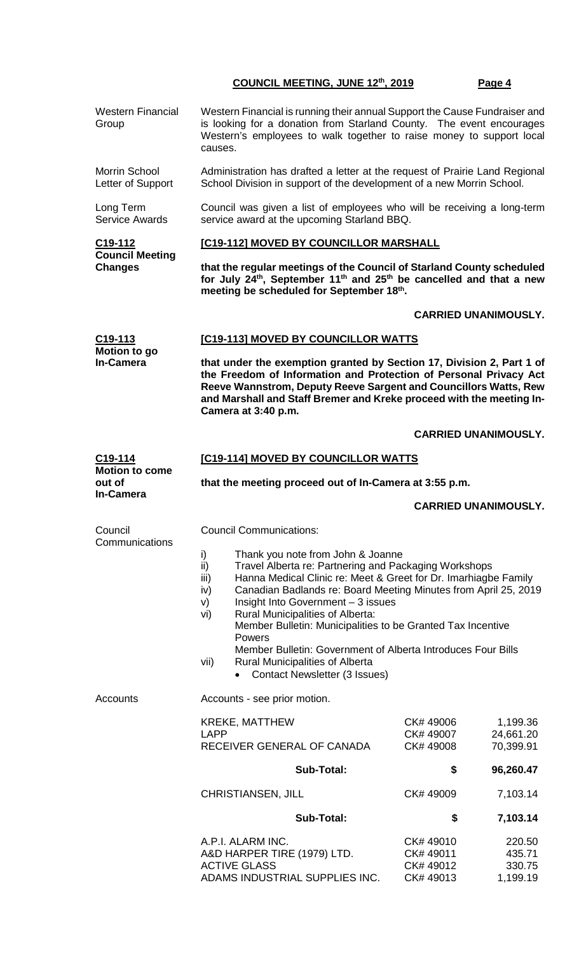| <b>Western Financial</b><br>Group                                | Western Financial is running their annual Support the Cause Fundraiser and<br>is looking for a donation from Starland County. The event encourages<br>Western's employees to walk together to raise money to support local<br>causes.                                                                                                                                                                                                                                                                                                                                    |                                     |                                    |  |  |
|------------------------------------------------------------------|--------------------------------------------------------------------------------------------------------------------------------------------------------------------------------------------------------------------------------------------------------------------------------------------------------------------------------------------------------------------------------------------------------------------------------------------------------------------------------------------------------------------------------------------------------------------------|-------------------------------------|------------------------------------|--|--|
| Morrin School<br>Letter of Support                               | Administration has drafted a letter at the request of Prairie Land Regional<br>School Division in support of the development of a new Morrin School.                                                                                                                                                                                                                                                                                                                                                                                                                     |                                     |                                    |  |  |
| Long Term<br><b>Service Awards</b>                               | Council was given a list of employees who will be receiving a long-term<br>service award at the upcoming Starland BBQ.                                                                                                                                                                                                                                                                                                                                                                                                                                                   |                                     |                                    |  |  |
| C <sub>19</sub> -112<br><b>Council Meeting</b><br><b>Changes</b> | [C19-112] MOVED BY COUNCILLOR MARSHALL                                                                                                                                                                                                                                                                                                                                                                                                                                                                                                                                   |                                     |                                    |  |  |
|                                                                  | that the regular meetings of the Council of Starland County scheduled<br>for July 24 <sup>th</sup> , September 11 <sup>th</sup> and 25 <sup>th</sup> be cancelled and that a new<br>meeting be scheduled for September 18th.                                                                                                                                                                                                                                                                                                                                             |                                     |                                    |  |  |
|                                                                  |                                                                                                                                                                                                                                                                                                                                                                                                                                                                                                                                                                          |                                     | <b>CARRIED UNANIMOUSLY.</b>        |  |  |
| C <sub>19</sub> -113<br>Motion to go<br><b>In-Camera</b>         |                                                                                                                                                                                                                                                                                                                                                                                                                                                                                                                                                                          | [C19-113] MOVED BY COUNCILLOR WATTS |                                    |  |  |
|                                                                  | that under the exemption granted by Section 17, Division 2, Part 1 of<br>the Freedom of Information and Protection of Personal Privacy Act<br>Reeve Wannstrom, Deputy Reeve Sargent and Councillors Watts, Rew<br>and Marshall and Staff Bremer and Kreke proceed with the meeting In-<br>Camera at 3:40 p.m.                                                                                                                                                                                                                                                            |                                     |                                    |  |  |
|                                                                  |                                                                                                                                                                                                                                                                                                                                                                                                                                                                                                                                                                          |                                     | <b>CARRIED UNANIMOUSLY.</b>        |  |  |
| C19-114                                                          | <b>[C19-114] MOVED BY COUNCILLOR WATTS</b>                                                                                                                                                                                                                                                                                                                                                                                                                                                                                                                               |                                     |                                    |  |  |
| <b>Motion to come</b><br>out of                                  | that the meeting proceed out of In-Camera at 3:55 p.m.                                                                                                                                                                                                                                                                                                                                                                                                                                                                                                                   |                                     |                                    |  |  |
| <b>In-Camera</b>                                                 |                                                                                                                                                                                                                                                                                                                                                                                                                                                                                                                                                                          |                                     | <b>CARRIED UNANIMOUSLY.</b>        |  |  |
| Council                                                          | <b>Council Communications:</b>                                                                                                                                                                                                                                                                                                                                                                                                                                                                                                                                           |                                     |                                    |  |  |
| Communications                                                   | i)<br>Thank you note from John & Joanne<br>ii)<br>Travel Alberta re: Partnering and Packaging Workshops<br>Hanna Medical Clinic re: Meet & Greet for Dr. Imarhiagbe Family<br>iii)<br>Canadian Badlands re: Board Meeting Minutes from April 25, 2019<br>iv)<br>Insight Into Government - 3 issues<br>V)<br>Rural Municipalities of Alberta:<br>vi)<br>Member Bulletin: Municipalities to be Granted Tax Incentive<br>Powers<br>Member Bulletin: Government of Alberta Introduces Four Bills<br>Rural Municipalities of Alberta<br>vii)<br>Contact Newsletter (3 Issues) |                                     |                                    |  |  |
| Accounts                                                         | Accounts - see prior motion.                                                                                                                                                                                                                                                                                                                                                                                                                                                                                                                                             |                                     |                                    |  |  |
|                                                                  | <b>KREKE, MATTHEW</b><br><b>LAPP</b><br>RECEIVER GENERAL OF CANADA                                                                                                                                                                                                                                                                                                                                                                                                                                                                                                       | CK# 49006<br>CK# 49007<br>CK# 49008 | 1,199.36<br>24,661.20<br>70,399.91 |  |  |
|                                                                  | <b>Sub-Total:</b>                                                                                                                                                                                                                                                                                                                                                                                                                                                                                                                                                        | \$                                  | 96,260.47                          |  |  |
|                                                                  | CHRISTIANSEN, JILL                                                                                                                                                                                                                                                                                                                                                                                                                                                                                                                                                       | CK# 49009                           | 7,103.14                           |  |  |
|                                                                  | <b>Sub-Total:</b>                                                                                                                                                                                                                                                                                                                                                                                                                                                                                                                                                        | \$                                  | 7,103.14                           |  |  |
|                                                                  | A.P.I. ALARM INC.<br>A&D HARPER TIRE (1979) LTD.<br><b>ACTIVE GLASS</b>                                                                                                                                                                                                                                                                                                                                                                                                                                                                                                  | CK#49010<br>CK# 49011<br>CK# 49012  | 220.50<br>435.71<br>330.75         |  |  |

ADAMS INDUSTRIAL SUPPLIES INC. CK# 49013 1,199.19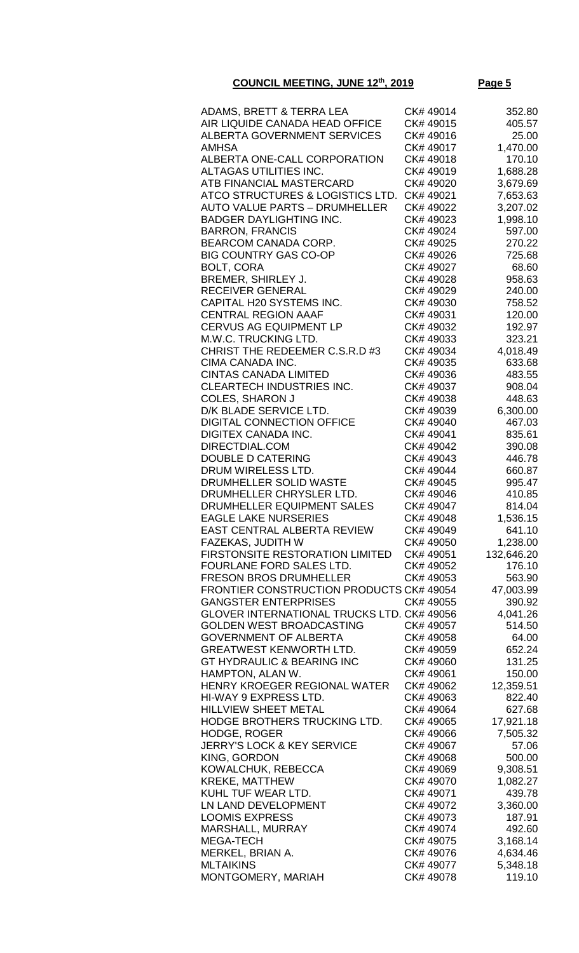| ADAMS, BRETT & TERRA LEA                        | CK# 49014 | 352.80     |
|-------------------------------------------------|-----------|------------|
| AIR LIQUIDE CANADA HEAD OFFICE                  | CK# 49015 | 405.57     |
| ALBERTA GOVERNMENT SERVICES                     | CK# 49016 | 25.00      |
| AMHSA                                           | CK# 49017 | 1,470.00   |
| ALBERTA ONE-CALL CORPORATION                    | CK# 49018 | 170.10     |
|                                                 | CK# 49019 |            |
| ALTAGAS UTILITIES INC.                          |           | 1,688.28   |
| ATB FINANCIAL MASTERCARD                        | CK# 49020 | 3,679.69   |
| ATCO STRUCTURES & LOGISTICS LTD.                | CK# 49021 | 7,653.63   |
| <b>AUTO VALUE PARTS - DRUMHELLER</b>            | CK# 49022 | 3,207.02   |
| <b>BADGER DAYLIGHTING INC.</b>                  | CK# 49023 | 1,998.10   |
| <b>BARRON, FRANCIS</b>                          | CK# 49024 | 597.00     |
| BEARCOM CANADA CORP.                            | CK# 49025 | 270.22     |
| <b>BIG COUNTRY GAS CO-OP</b>                    | CK# 49026 | 725.68     |
| <b>BOLT, CORA</b>                               | CK# 49027 | 68.60      |
| BREMER, SHIRLEY J.                              | CK# 49028 | 958.63     |
| <b>RECEIVER GENERAL</b>                         | CK# 49029 | 240.00     |
| CAPITAL H20 SYSTEMS INC.                        | CK# 49030 | 758.52     |
| <b>CENTRAL REGION AAAF</b>                      | CK# 49031 | 120.00     |
| <b>CERVUS AG EQUIPMENT LP</b>                   | CK# 49032 | 192.97     |
| M.W.C. TRUCKING LTD.                            | CK# 49033 | 323.21     |
| CHRIST THE REDEEMER C.S.R.D #3                  | CK# 49034 | 4,018.49   |
| CIMA CANADA INC.                                | CK# 49035 | 633.68     |
| <b>CINTAS CANADA LIMITED</b>                    | CK# 49036 | 483.55     |
| <b>CLEARTECH INDUSTRIES INC.</b>                | CK# 49037 | 908.04     |
| <b>COLES, SHARON J</b>                          | CK# 49038 | 448.63     |
| D/K BLADE SERVICE LTD.                          | CK# 49039 | 6,300.00   |
| <b>DIGITAL CONNECTION OFFICE</b>                | CK# 49040 | 467.03     |
| <b>DIGITEX CANADA INC.</b>                      | CK# 49041 | 835.61     |
| DIRECTDIAL.COM                                  | CK# 49042 | 390.08     |
| <b>DOUBLE D CATERING</b>                        | CK# 49043 | 446.78     |
| DRUM WIRELESS LTD.                              | CK# 49044 | 660.87     |
| DRUMHELLER SOLID WASTE                          | CK# 49045 | 995.47     |
| DRUMHELLER CHRYSLER LTD.                        | CK# 49046 | 410.85     |
| DRUMHELLER EQUIPMENT SALES                      | CK# 49047 | 814.04     |
| <b>EAGLE LAKE NURSERIES</b>                     | CK# 49048 | 1,536.15   |
| EAST CENTRAL ALBERTA REVIEW                     | CK# 49049 | 641.10     |
| <b>FAZEKAS, JUDITH W</b>                        | CK# 49050 | 1,238.00   |
| <b>FIRSTONSITE RESTORATION LIMITED</b>          | CK# 49051 | 132,646.20 |
| FOURLANE FORD SALES LTD.                        | CK# 49052 | 176.10     |
| <b>FRESON BROS DRUMHELLER</b>                   | CK# 49053 | 563.90     |
| <b>FRONTIER CONSTRUCTION PRODUCTS CK# 49054</b> |           | 47,003.99  |
| <b>GANGSTER ENTERPRISES</b>                     | CK# 49055 | 390.92     |
| GLOVER INTERNATIONAL TRUCKS LTD. CK# 49056      |           | 4,041.26   |
| <b>GOLDEN WEST BROADCASTING</b>                 | CK# 49057 | 514.50     |
| <b>GOVERNMENT OF ALBERTA</b>                    | CK# 49058 | 64.00      |
| <b>GREATWEST KENWORTH LTD.</b>                  | CK# 49059 | 652.24     |
| <b>GT HYDRAULIC &amp; BEARING INC</b>           | CK# 49060 | 131.25     |
| HAMPTON, ALAN W.                                | CK# 49061 | 150.00     |
| HENRY KROEGER REGIONAL WATER                    | CK# 49062 | 12,359.51  |
| HI-WAY 9 EXPRESS LTD.                           | CK# 49063 | 822.40     |
| HILLVIEW SHEET METAL                            | CK# 49064 | 627.68     |
| HODGE BROTHERS TRUCKING LTD.                    | CK# 49065 | 17,921.18  |
| <b>HODGE, ROGER</b>                             | CK# 49066 | 7,505.32   |
| <b>JERRY'S LOCK &amp; KEY SERVICE</b>           | CK# 49067 | 57.06      |
| KING, GORDON                                    | CK# 49068 | 500.00     |
| KOWALCHUK, REBECCA                              | CK# 49069 | 9,308.51   |
| <b>KREKE, MATTHEW</b>                           | CK# 49070 | 1,082.27   |
| KUHL TUF WEAR LTD.                              | CK# 49071 | 439.78     |
| LN LAND DEVELOPMENT                             | CK# 49072 | 3,360.00   |
| <b>LOOMIS EXPRESS</b>                           | CK# 49073 | 187.91     |
| MARSHALL, MURRAY                                | CK# 49074 | 492.60     |
| <b>MEGA-TECH</b>                                | CK# 49075 | 3,168.14   |
| MERKEL, BRIAN A.                                | CK# 49076 | 4,634.46   |
| <b>MLTAIKINS</b>                                | CK# 49077 | 5,348.18   |
| MONTGOMERY, MARIAH                              | CK# 49078 | 119.10     |
|                                                 |           |            |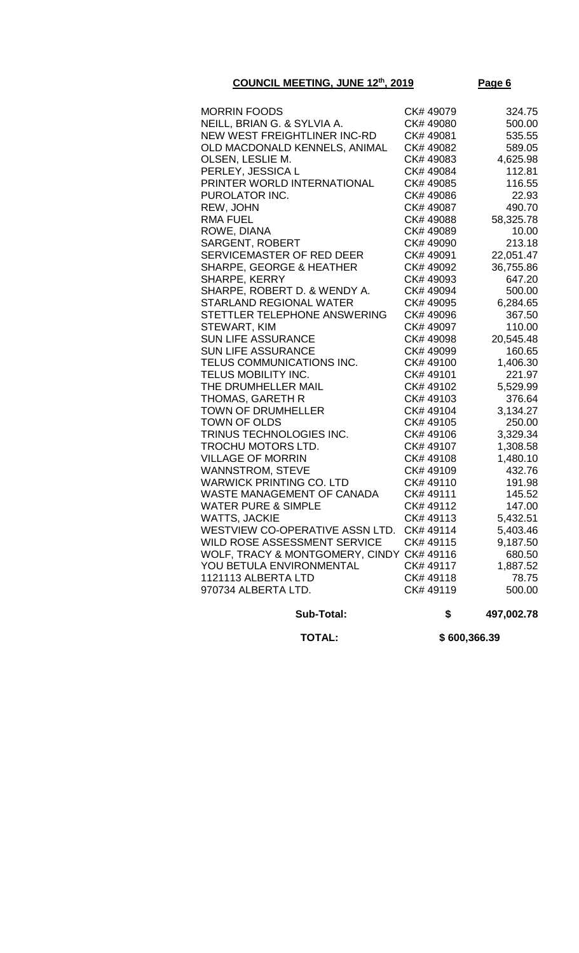| <b>MORRIN FOODS</b>                       | CK# 49079 | 324.75    |
|-------------------------------------------|-----------|-----------|
| NEILL, BRIAN G. & SYLVIA A.               | CK# 49080 | 500.00    |
| NEW WEST FREIGHTLINER INC-RD              | CK# 49081 | 535.55    |
| OLD MACDONALD KENNELS, ANIMAL             | CK# 49082 | 589.05    |
| OLSEN, LESLIE M.                          | CK# 49083 | 4,625.98  |
| PERLEY, JESSICA L                         | CK# 49084 | 112.81    |
| PRINTER WORLD INTERNATIONAL               | CK# 49085 | 116.55    |
| PUROLATOR INC.                            | CK# 49086 | 22.93     |
| REW, JOHN                                 | CK# 49087 | 490.70    |
| RMA FUEL                                  | CK# 49088 | 58,325.78 |
| ROWE, DIANA                               | CK# 49089 | 10.00     |
| <b>SARGENT, ROBERT</b>                    | CK# 49090 | 213.18    |
| SERVICEMASTER OF RED DEER                 | CK# 49091 | 22,051.47 |
| <b>SHARPE, GEORGE &amp; HEATHER</b>       | CK# 49092 | 36,755.86 |
| SHARPE, KERRY                             | CK# 49093 | 647.20    |
| SHARPE, ROBERT D. & WENDY A.              | CK# 49094 | 500.00    |
| <b>STARLAND REGIONAL WATER</b>            | CK# 49095 | 6,284.65  |
| STETTLER TELEPHONE ANSWERING              | CK# 49096 | 367.50    |
| STEWART, KIM                              | CK# 49097 | 110.00    |
| <b>SUN LIFE ASSURANCE</b>                 | CK# 49098 | 20,545.48 |
| <b>SUN LIFE ASSURANCE</b>                 | CK# 49099 | 160.65    |
| TELUS COMMUNICATIONS INC.                 | CK# 49100 | 1,406.30  |
| TELUS MOBILITY INC.                       | CK# 49101 | 221.97    |
| THE DRUMHELLER MAIL                       | CK# 49102 | 5,529.99  |
| THOMAS, GARETH R                          | CK# 49103 | 376.64    |
| <b>TOWN OF DRUMHELLER</b>                 | CK# 49104 | 3,134.27  |
| TOWN OF OLDS                              | CK# 49105 | 250.00    |
| TRINUS TECHNOLOGIES INC.                  | CK# 49106 | 3,329.34  |
| TROCHU MOTORS LTD.                        | CK# 49107 | 1,308.58  |
| <b>VILLAGE OF MORRIN</b>                  | CK# 49108 | 1,480.10  |
| WANNSTROM, STEVE                          | CK# 49109 | 432.76    |
| WARWICK PRINTING CO. LTD                  | CK# 49110 | 191.98    |
| WASTE MANAGEMENT OF CANADA                | CK# 49111 | 145.52    |
| <b>WATER PURE &amp; SIMPLE</b>            | CK# 49112 | 147.00    |
| WATTS, JACKIE                             | CK# 49113 | 5,432.51  |
| WESTVIEW CO-OPERATIVE ASSN LTD.           | CK# 49114 | 5,403.46  |
| WILD ROSE ASSESSMENT SERVICE              | CK# 49115 | 9,187.50  |
| WOLF, TRACY & MONTGOMERY, CINDY CK# 49116 |           | 680.50    |
| YOU BETULA ENVIRONMENTAL                  | CK# 49117 | 1,887.52  |
| 1121113 ALBERTA LTD                       | CK#49118  | 78.75     |
| 970734 ALBERTA LTD.                       | CK# 49119 | 500.00    |

 **Sub-Total: \$ 497,002.78**

 **TOTAL: \$ 600,366.39**